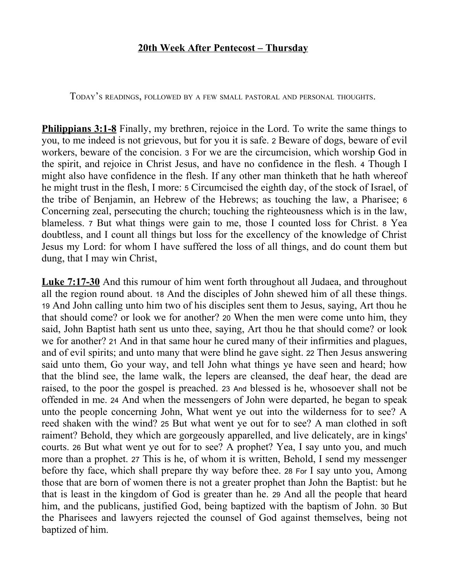## **20th Week After Pentecost – Thursday**

TODAY'<sup>S</sup> READINGS, FOLLOWED BY <sup>A</sup> FEW SMALL PASTORAL AND PERSONAL THOUGHTS.

**Philippians 3:1-8** Finally, my brethren, rejoice in the Lord. To write the same things to you, to me indeed is not grievous, but for you it is safe. 2 Beware of dogs, beware of evil workers, beware of the concision. 3 For we are the circumcision, which worship God in the spirit, and rejoice in Christ Jesus, and have no confidence in the flesh. 4 Though I might also have confidence in the flesh. If any other man thinketh that he hath whereof he might trust in the flesh, I more: 5 Circumcised the eighth day, of the stock of Israel, of the tribe of Benjamin, an Hebrew of the Hebrews; as touching the law, a Pharisee; 6 Concerning zeal, persecuting the church; touching the righteousness which is in the law, blameless. 7 But what things were gain to me, those I counted loss for Christ. 8 Yea doubtless, and I count all things but loss for the excellency of the knowledge of Christ Jesus my Lord: for whom I have suffered the loss of all things, and do count them but dung, that I may win Christ,

**Luke 7:17-30** And this rumour of him went forth throughout all Judaea, and throughout all the region round about. 18 And the disciples of John shewed him of all these things. 19 And John calling unto him two of his disciples sent them to Jesus, saying, Art thou he that should come? or look we for another? 20 When the men were come unto him, they said, John Baptist hath sent us unto thee, saying, Art thou he that should come? or look we for another? 21 And in that same hour he cured many of their infirmities and plagues, and of evil spirits; and unto many that were blind he gave sight. 22 Then Jesus answering said unto them, Go your way, and tell John what things ye have seen and heard; how that the blind see, the lame walk, the lepers are cleansed, the deaf hear, the dead are raised, to the poor the gospel is preached. 23 And blessed is he, whosoever shall not be offended in me. 24 And when the messengers of John were departed, he began to speak unto the people concerning John, What went ye out into the wilderness for to see? A reed shaken with the wind? 25 But what went ye out for to see? A man clothed in soft raiment? Behold, they which are gorgeously apparelled, and live delicately, are in kings' courts. 26 But what went ye out for to see? A prophet? Yea, I say unto you, and much more than a prophet. 27 This is he, of whom it is written, Behold, I send my messenger before thy face, which shall prepare thy way before thee. 28 For I say unto you, Among those that are born of women there is not a greater prophet than John the Baptist: but he that is least in the kingdom of God is greater than he. 29 And all the people that heard him, and the publicans, justified God, being baptized with the baptism of John. 30 But the Pharisees and lawyers rejected the counsel of God against themselves, being not baptized of him.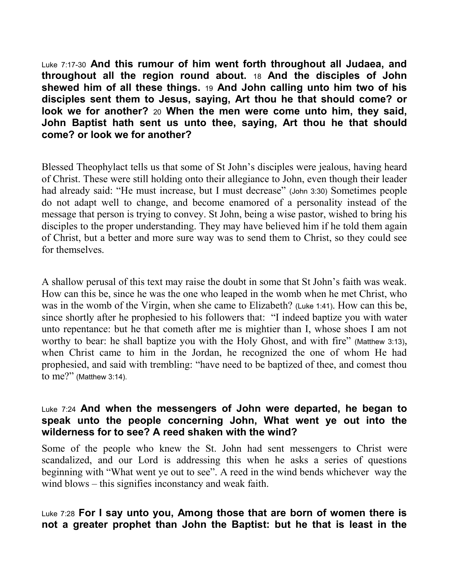Luke 7:17-30 **And this rumour of him went forth throughout all Judaea, and throughout all the region round about.** 18 **And the disciples of John shewed him of all these things.** 19 **And John calling unto him two of his disciples sent them to Jesus, saying, Art thou he that should come? or look we for another?** 20 **When the men were come unto him, they said, John Baptist hath sent us unto thee, saying, Art thou he that should come? or look we for another?**

Blessed Theophylact tells us that some of St John's disciples were jealous, having heard of Christ. These were still holding onto their allegiance to John, even though their leader had already said: "He must increase, but I must decrease" (John 3:30) Sometimes people do not adapt well to change, and become enamored of a personality instead of the message that person is trying to convey. St John, being a wise pastor, wished to bring his disciples to the proper understanding. They may have believed him if he told them again of Christ, but a better and more sure way was to send them to Christ, so they could see for themselves.

A shallow perusal of this text may raise the doubt in some that St John's faith was weak. How can this be, since he was the one who leaped in the womb when he met Christ, who was in the womb of the Virgin, when she came to Elizabeth? (Luke 1:41). How can this be, since shortly after he prophesied to his followers that: "I indeed baptize you with water unto repentance: but he that cometh after me is mightier than I, whose shoes I am not worthy to bear: he shall baptize you with the Holy Ghost, and with fire" (Matthew 3:13), when Christ came to him in the Jordan, he recognized the one of whom He had prophesied, and said with trembling: "have need to be baptized of thee, and comest thou to me?" (Matthew 3:14).

## Luke 7:24 **And when the messengers of John were departed, he began to speak unto the people concerning John, What went ye out into the wilderness for to see? A reed shaken with the wind?**

Some of the people who knew the St. John had sent messengers to Christ were scandalized, and our Lord is addressing this when he asks a series of questions beginning with "What went ye out to see". A reed in the wind bends whichever way the wind blows – this signifies inconstancy and weak faith.

## Luke 7:28 **For I say unto you, Among those that are born of women there is not a greater prophet than John the Baptist: but he that is least in the**